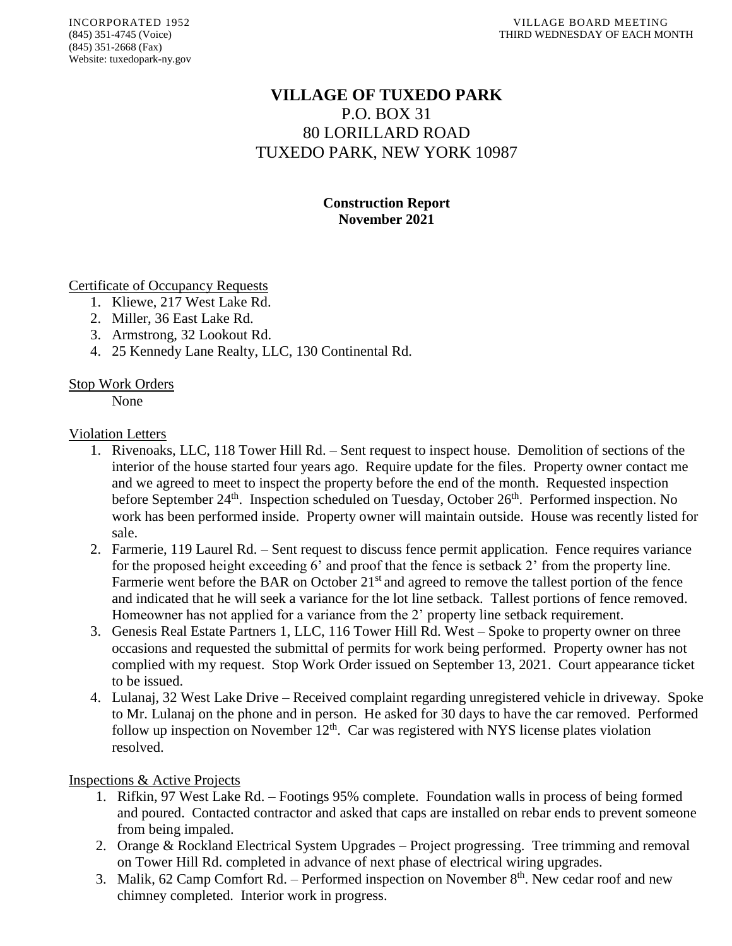# **VILLAGE OF TUXEDO PARK** P.O. BOX 31 80 LORILLARD ROAD TUXEDO PARK, NEW YORK 10987

# **Construction Report November 2021**

## Certificate of Occupancy Requests

- 1. Kliewe, 217 West Lake Rd.
- 2. Miller, 36 East Lake Rd.
- 3. Armstrong, 32 Lookout Rd.
- 4. 25 Kennedy Lane Realty, LLC, 130 Continental Rd.

## Stop Work Orders

None

#### Violation Letters

- 1. Rivenoaks, LLC, 118 Tower Hill Rd. Sent request to inspect house. Demolition of sections of the interior of the house started four years ago. Require update for the files. Property owner contact me and we agreed to meet to inspect the property before the end of the month. Requested inspection before September 24<sup>th</sup>. Inspection scheduled on Tuesday, October 26<sup>th</sup>. Performed inspection. No work has been performed inside. Property owner will maintain outside. House was recently listed for sale.
- 2. Farmerie, 119 Laurel Rd. Sent request to discuss fence permit application. Fence requires variance for the proposed height exceeding 6' and proof that the fence is setback 2' from the property line. Farmerie went before the BAR on October  $21<sup>st</sup>$  and agreed to remove the tallest portion of the fence and indicated that he will seek a variance for the lot line setback. Tallest portions of fence removed. Homeowner has not applied for a variance from the 2' property line setback requirement.
- 3. Genesis Real Estate Partners 1, LLC, 116 Tower Hill Rd. West Spoke to property owner on three occasions and requested the submittal of permits for work being performed. Property owner has not complied with my request. Stop Work Order issued on September 13, 2021. Court appearance ticket to be issued.
- 4. Lulanaj, 32 West Lake Drive Received complaint regarding unregistered vehicle in driveway. Spoke to Mr. Lulanaj on the phone and in person. He asked for 30 days to have the car removed. Performed follow up inspection on November  $12<sup>th</sup>$ . Car was registered with NYS license plates violation resolved.

# Inspections & Active Projects

- 1. Rifkin, 97 West Lake Rd. Footings 95% complete. Foundation walls in process of being formed and poured. Contacted contractor and asked that caps are installed on rebar ends to prevent someone from being impaled.
- 2. Orange & Rockland Electrical System Upgrades Project progressing. Tree trimming and removal on Tower Hill Rd. completed in advance of next phase of electrical wiring upgrades.
- 3. Malik, 62 Camp Comfort Rd. Performed inspection on November  $8<sup>th</sup>$ . New cedar roof and new chimney completed. Interior work in progress.